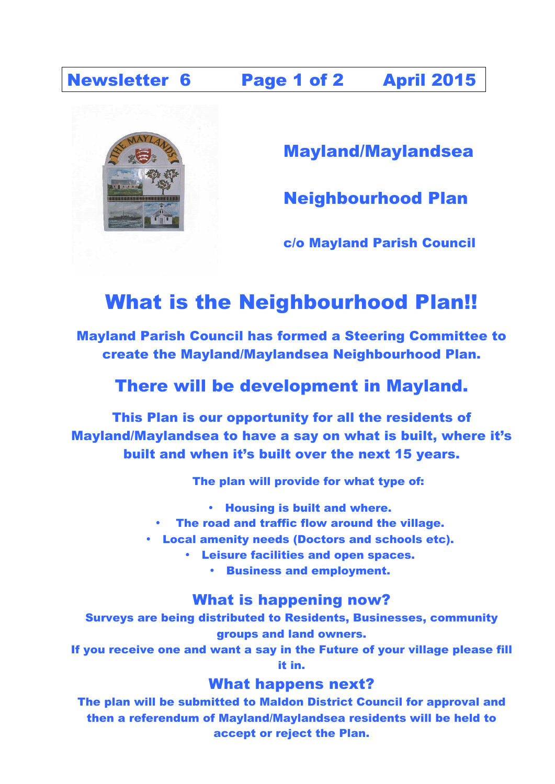Newsletter 6 Page 1 of 2 April 2015



Mayland/Maylandsea

Neighbourhood Plan

c/o Mayland Parish Council

# What is the Neighbourhood Plan!!

Mayland Parish Council has formed a Steering Committee to create the Mayland/Maylandsea Neighbourhood Plan.

## There will be development in Mayland.

This Plan is our opportunity for all the residents of Mayland/Maylandsea to have a say on what is built, where it's built and when it's built over the next 15 years.

The plan will provide for what type of:

- Housing is built and where.
- The road and traffic flow around the village.
- Local amenity needs (Doctors and schools etc).
	- Leisure facilities and open spaces.
		- Business and employment.

#### What is happening now?

Surveys are being distributed to Residents, Businesses, community groups and land owners.

If you receive one and want a say in the Future of your village please fill it in.

#### What happens next?

The plan will be submitted to Maldon District Council for approval and then a referendum of Mayland/Maylandsea residents will be held to accept or reject the Plan.